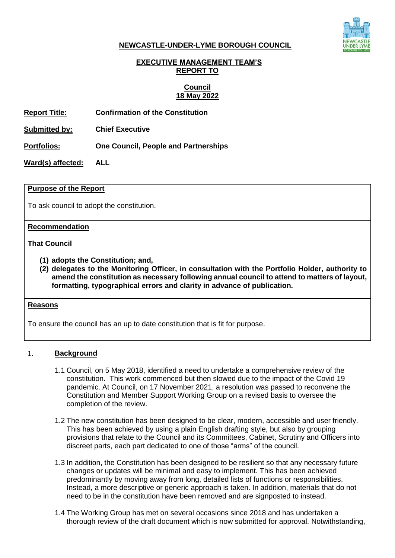

#### **NEWCASTLE-UNDER-LYME BOROUGH COUNCIL**

# **EXECUTIVE MANAGEMENT TEAM'S REPORT TO**

#### **Council 18 May 2022**

**Report Title: Confirmation of the Constitution**

**Submitted by: Chief Executive**

**Portfolios: One Council, People and Partnerships**

**Ward(s) affected: ALL**

#### **Purpose of the Report**

To ask council to adopt the constitution.

#### **Recommendation**

**That Council** 

- **(1) adopts the Constitution; and,**
- **(2) delegates to the Monitoring Officer, in consultation with the Portfolio Holder, authority to amend the constitution as necessary following annual council to attend to matters of layout, formatting, typographical errors and clarity in advance of publication.**

#### **Reasons**

To ensure the council has an up to date constitution that is fit for purpose.

# 1. **Background**

- 1.1 Council, on 5 May 2018, identified a need to undertake a comprehensive review of the constitution. This work commenced but then slowed due to the impact of the Covid 19 pandemic. At Council, on 17 November 2021, a resolution was passed to reconvene the Constitution and Member Support Working Group on a revised basis to oversee the completion of the review.
- 1.2 The new constitution has been designed to be clear, modern, accessible and user friendly. This has been achieved by using a plain English drafting style, but also by grouping provisions that relate to the Council and its Committees, Cabinet, Scrutiny and Officers into discreet parts, each part dedicated to one of those "arms" of the council.
- 1.3 In addition, the Constitution has been designed to be resilient so that any necessary future changes or updates will be minimal and easy to implement. This has been achieved predominantly by moving away from long, detailed lists of functions or responsibilities. Instead, a more descriptive or generic approach is taken. In addition, materials that do not need to be in the constitution have been removed and are signposted to instead.
- 1.4 The Working Group has met on several occasions since 2018 and has undertaken a thorough review of the draft document which is now submitted for approval. Notwithstanding,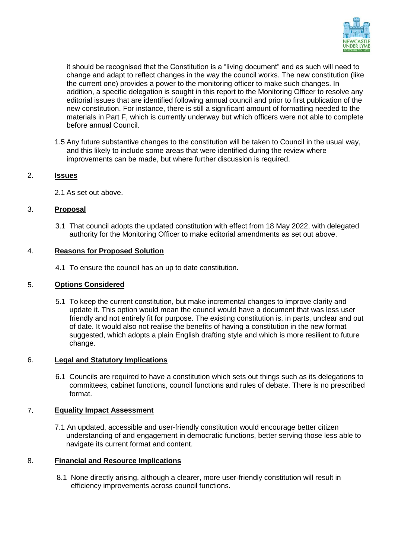

it should be recognised that the Constitution is a "living document" and as such will need to change and adapt to reflect changes in the way the council works. The new constitution (like the current one) provides a power to the monitoring officer to make such changes. In addition, a specific delegation is sought in this report to the Monitoring Officer to resolve any editorial issues that are identified following annual council and prior to first publication of the new constitution. For instance, there is still a significant amount of formatting needed to the materials in Part F, which is currently underway but which officers were not able to complete before annual Council.

1.5 Any future substantive changes to the constitution will be taken to Council in the usual way, and this likely to include some areas that were identified during the review where improvements can be made, but where further discussion is required.

# 2. **Issues**

2.1 As set out above.

# 3. **Proposal**

3.1 That council adopts the updated constitution with effect from 18 May 2022, with delegated authority for the Monitoring Officer to make editorial amendments as set out above.

# 4. **Reasons for Proposed Solution**

4.1 To ensure the council has an up to date constitution.

# 5. **Options Considered**

5.1 To keep the current constitution, but make incremental changes to improve clarity and update it. This option would mean the council would have a document that was less user friendly and not entirely fit for purpose. The existing constitution is, in parts, unclear and out of date. It would also not realise the benefits of having a constitution in the new format suggested, which adopts a plain English drafting style and which is more resilient to future change.

# 6. **Legal and Statutory Implications**

6.1 Councils are required to have a constitution which sets out things such as its delegations to committees, cabinet functions, council functions and rules of debate. There is no prescribed format.

# 7. **Equality Impact Assessment**

7.1 An updated, accessible and user-friendly constitution would encourage better citizen understanding of and engagement in democratic functions, better serving those less able to navigate its current format and content.

#### 8. **Financial and Resource Implications**

8.1 None directly arising, although a clearer, more user-friendly constitution will result in efficiency improvements across council functions.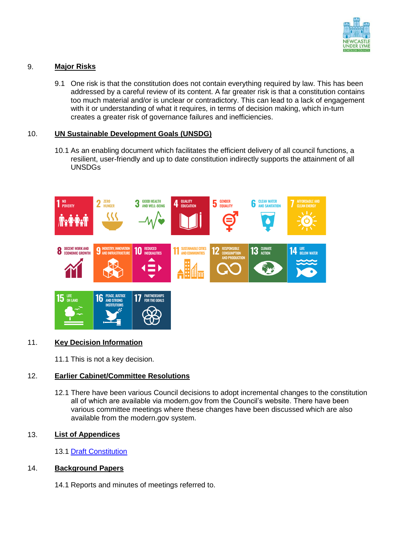

# 9. **Major Risks**

9.1 One risk is that the constitution does not contain everything required by law. This has been addressed by a careful review of its content. A far greater risk is that a constitution contains too much material and/or is unclear or contradictory. This can lead to a lack of engagement with it or understanding of what it requires, in terms of decision making, which in-turn creates a greater risk of governance failures and inefficiencies.

# 10. **UN Sustainable Development Goals (UNSDG)**

10.1 As an enabling document which facilitates the efficient delivery of all council functions, a resilient, user-friendly and up to date constitution indirectly supports the attainment of all UNSDGs



# 11. **Key Decision Information**

11.1 This is not a key decision.

# 12. **Earlier Cabinet/Committee Resolutions**

12.1 There have been various Council decisions to adopt incremental changes to the constitution all of which are available via modern.gov from the Council's website. There have been various committee meetings where these changes have been discussed which are also available from the modern.gov system.

# 13. **List of Appendices**

13.1 [Draft Constitution](https://gbr01.safelinks.protection.outlook.com/?url=https%3A%2F%2Fwww.newcastle-staffs.gov.uk%2Fdownloads%2Fdownload%2F458%2Fnewcastle-under-lyme-borough-council-draft-constitution&data=05%7C01%7CGeoff.Durham%40newcastle-staffs.gov.uk%7C8cbdf386584448893d6208da38a1020a%7C32f4c2fab4aa4b8583f7c683c33ab100%7C0%7C0%7C637884561407616033%7CUnknown%7CTWFpbGZsb3d8eyJWIjoiMC4wLjAwMDAiLCJQIjoiV2luMzIiLCJBTiI6Ik1haWwiLCJXVCI6Mn0%3D%7C3000%7C%7C%7C&sdata=Lcm7F0XEHd%2BrSMd%2F8ziJVdZmSabG1WLuxRbNrgU00nI%3D&reserved=0)

# 14. **Background Papers**

14.1 Reports and minutes of meetings referred to.